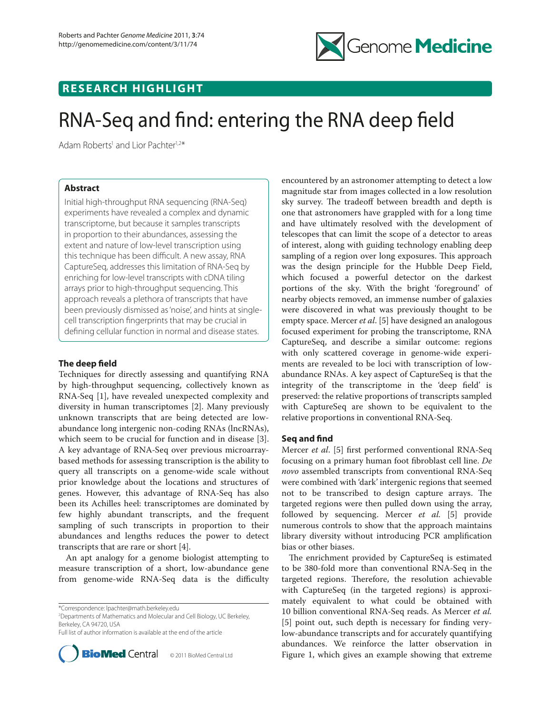

# **RESEARCH HIGHLIGHT**

# RNA-Seq and find: entering the RNA deep field

Adam Roberts<sup>1</sup> and Lior Pachter<sup>1,2\*</sup>

# **Abstract**

Initial high-throughput RNA sequencing (RNA-Seq) experiments have revealed a complex and dynamic transcriptome, but because it samples transcripts in proportion to their abundances, assessing the extent and nature of low-level transcription using this technique has been difficult. A new assay, RNA CaptureSeq, addresses this limitation of RNA-Seq by enriching for low-level transcripts with cDNA tiling arrays prior to high-throughput sequencing. This approach reveals a plethora of transcripts that have been previously dismissed as 'noise', and hints at singlecell transcription fingerprints that may be crucial in defining cellular function in normal and disease states.

# **The deep field**

Techniques for directly assessing and quantifying RNA by high-throughput sequencing, collectively known as RNA-Seq [1], have revealed unexpected complexity and diversity in human transcriptomes [2]. Many previously unknown transcripts that are being detected are lowabundance long intergenic non-coding RNAs (lncRNAs), which seem to be crucial for function and in disease [3]. A key advantage of RNA-Seq over previous microarraybased methods for assessing transcription is the ability to query all transcripts on a genome-wide scale without prior knowledge about the locations and structures of genes. However, this advantage of RNA-Seq has also been its Achilles heel: transcriptomes are dominated by few highly abundant transcripts, and the frequent sampling of such transcripts in proportion to their abundances and lengths reduces the power to detect transcripts that are rare or short [4].

An apt analogy for a genome biologist attempting to measure transcription of a short, low-abundance gene from genome-wide RNA-Seq data is the difficulty

2 Departments of Mathematics and Molecular and Cell Biology, UC Berkeley, Berkeley, CA 94720, USA

Full list of author information is available at the end of the article



encountered by an astronomer attempting to detect a low magnitude star from images collected in a low resolution sky survey. The tradeoff between breadth and depth is one that astronomers have grappled with for a long time and have ultimately resolved with the development of telescopes that can limit the scope of a detector to areas of interest, along with guiding technology enabling deep sampling of a region over long exposures. This approach was the design principle for the Hubble Deep Field, which focused a powerful detector on the darkest portions of the sky. With the bright 'foreground' of nearby objects removed, an immense number of galaxies were discovered in what was previously thought to be empty space. Mercer *et al*. [5] have designed an analogous focused experiment for probing the transcriptome, RNA CaptureSeq, and describe a similar outcome: regions with only scattered coverage in genome-wide experiments are revealed to be loci with transcription of lowabundance RNAs. A key aspect of CaptureSeq is that the integrity of the transcriptome in the 'deep field' is preserved: the relative proportions of transcripts sampled with CaptureSeq are shown to be equivalent to the relative proportions in conventional RNA-Seq.

# **Seq and find**

Mercer *et al*. [5] first performed conventional RNA-Seq focusing on a primary human foot fibroblast cell line. *De novo* assembled transcripts from conventional RNA-Seq were combined with 'dark' intergenic regions that seemed not to be transcribed to design capture arrays. The targeted regions were then pulled down using the array, followed by sequencing. Mercer *et al.* [5] provide numerous controls to show that the approach maintains library diversity without introducing PCR amplification bias or other biases.

The enrichment provided by CaptureSeq is estimated to be 380-fold more than conventional RNA-Seq in the targeted regions. Therefore, the resolution achievable with CaptureSeq (in the targeted regions) is approximately equivalent to what could be obtained with 10 billion conventional RNA-Seq reads. As Mercer *et al.* [5] point out, such depth is necessary for finding verylow-abundance transcripts and for accurately quantifying abundances. We reinforce the latter observation in Figure 1, which gives an example showing that extreme

<sup>\*</sup>Correspondence: lpachter@math.berkeley.edu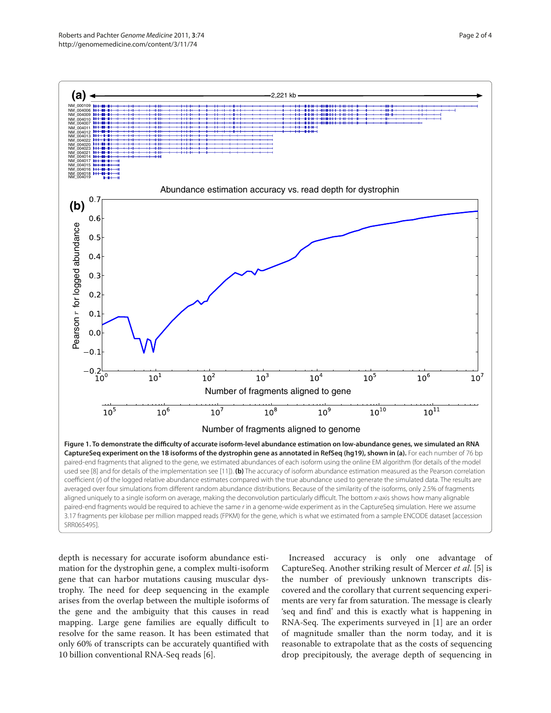

depth is necessary for accurate isoform abundance estimation for the dystrophin gene, a complex multi-isoform gene that can harbor mutations causing muscular dystrophy. The need for deep sequencing in the example arises from the overlap between the multiple isoforms of the gene and the ambiguity that this causes in read mapping. Large gene families are equally difficult to resolve for the same reason. It has been estimated that only 60% of transcripts can be accurately quantified with 10 billion conventional RNA-Seq reads [6].

Increased accuracy is only one advantage of CaptureSeq. Another striking result of Mercer *et al*. [5] is the number of previously unknown transcripts discovered and the corollary that current sequencing experiments are very far from saturation. The message is clearly 'seq and find' and this is exactly what is happening in RNA-Seq. The experiments surveyed in [1] are an order of magnitude smaller than the norm today, and it is reasonable to extrapolate that as the costs of sequencing drop precipitously, the average depth of sequencing in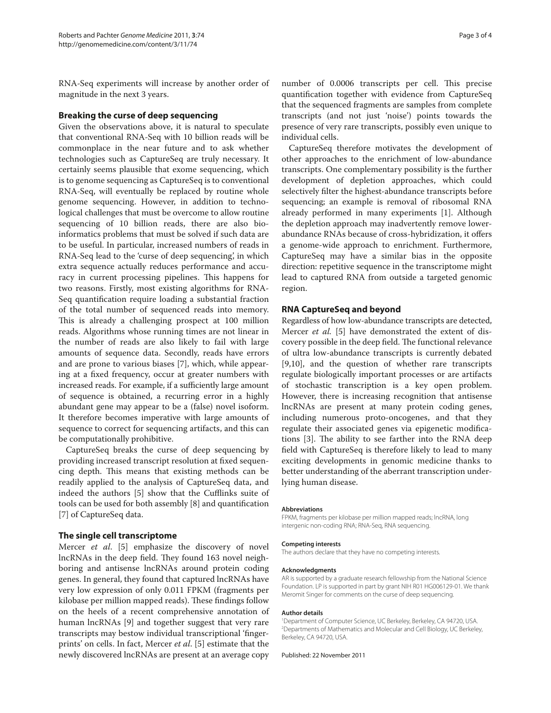RNA-Seq experiments will increase by another order of magnitude in the next 3 years.

# **Breaking the curse of deep sequencing**

Given the observations above, it is natural to speculate that conventional RNA-Seq with 10 billion reads will be commonplace in the near future and to ask whether technologies such as CaptureSeq are truly necessary. It certainly seems plausible that exome sequencing, which is to genome sequencing as CaptureSeq is to conventional RNA-Seq, will eventually be replaced by routine whole genome sequencing. However, in addition to technological challenges that must be overcome to allow routine sequencing of 10 billion reads, there are also bioinformatics problems that must be solved if such data are to be useful. In particular, increased numbers of reads in RNA-Seq lead to the 'curse of deep sequencing', in which extra sequence actually reduces performance and accuracy in current processing pipelines. This happens for two reasons. Firstly, most existing algorithms for RNA-Seq quantification require loading a substantial fraction of the total number of sequenced reads into memory. This is already a challenging prospect at 100 million reads. Algorithms whose running times are not linear in the number of reads are also likely to fail with large amounts of sequence data. Secondly, reads have errors and are prone to various biases [7], which, while appearing at a fixed frequency, occur at greater numbers with increased reads. For example, if a sufficiently large amount of sequence is obtained, a recurring error in a highly abundant gene may appear to be a (false) novel isoform. It therefore becomes imperative with large amounts of sequence to correct for sequencing artifacts, and this can be computationally prohibitive.

CaptureSeq breaks the curse of deep sequencing by providing increased transcript resolution at fixed sequencing depth. This means that existing methods can be readily applied to the analysis of CaptureSeq data, and indeed the authors [5] show that the Cufflinks suite of tools can be used for both assembly [8] and quantification [7] of CaptureSeq data.

### **The single cell transcriptome**

Mercer *et al*. [5] emphasize the discovery of novel lncRNAs in the deep field. They found 163 novel neighboring and antisense lncRNAs around protein coding genes. In general, they found that captured lncRNAs have very low expression of only 0.011 FPKM (fragments per kilobase per million mapped reads). These findings follow on the heels of a recent comprehensive annotation of human lncRNAs [9] and together suggest that very rare transcripts may bestow individual transcriptional 'fingerprints' on cells. In fact, Mercer *et al*. [5] estimate that the newly discovered lncRNAs are present at an average copy

number of 0.0006 transcripts per cell. This precise quantification together with evidence from CaptureSeq that the sequenced fragments are samples from complete transcripts (and not just 'noise') points towards the presence of very rare transcripts, possibly even unique to individual cells.

CaptureSeq therefore motivates the development of other approaches to the enrichment of low-abundance transcripts. One complementary possibility is the further development of depletion approaches, which could selectively filter the highest-abundance transcripts before sequencing; an example is removal of ribosomal RNA already performed in many experiments [1]. Although the depletion approach may inadvertently remove lowerabundance RNAs because of cross-hybridization, it offers a genome-wide approach to enrichment. Furthermore, CaptureSeq may have a similar bias in the opposite direction: repetitive sequence in the transcriptome might lead to captured RNA from outside a targeted genomic region.

# **RNA CaptureSeq and beyond**

Regardless of how low-abundance transcripts are detected, Mercer *et al.* [5] have demonstrated the extent of discovery possible in the deep field. The functional relevance of ultra low-abundance transcripts is currently debated [9,10], and the question of whether rare transcripts regulate biologically important processes or are artifacts of stochastic transcription is a key open problem. However, there is increasing recognition that antisense lncRNAs are present at many protein coding genes, including numerous proto-oncogenes, and that they regulate their associated genes via epigenetic modifications [3]. The ability to see farther into the RNA deep field with CaptureSeq is therefore likely to lead to many exciting developments in genomic medicine thanks to better understanding of the aberrant transcription underlying human disease.

#### **Abbreviations**

FPKM, fragments per kilobase per million mapped reads; lncRNA, long intergenic non-coding RNA; RNA-Seq, RNA sequencing.

#### **Competing interests**

The authors declare that they have no competing interests.

#### **Acknowledgments**

AR is supported by a graduate research fellowship from the National Science Foundation. LP is supported in part by grant NIH R01 HG006129-01. We thank Meromit Singer for comments on the curse of deep sequencing.

#### **Author details**

1 Department of Computer Science, UC Berkeley, Berkeley, CA 94720, USA. 2 Departments of Mathematics and Molecular and Cell Biology, UC Berkeley, Berkeley, CA 94720, USA.

Published: 22 November 2011